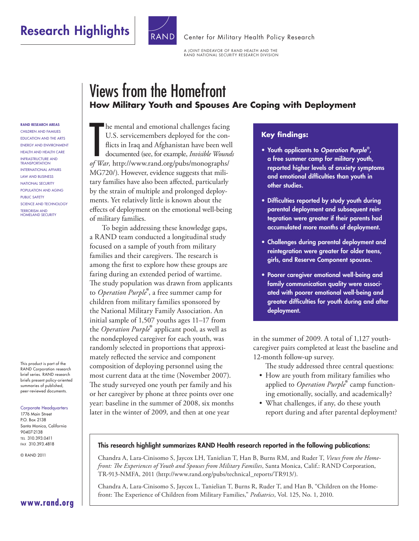# Research Highlights **Research Highlights** RAND [Center for Military Health Policy Research](http://www.rand.org/pdfrd/multi/military/)



A JOINT ENDEAVOR OF RAND HEALTH AND THE RAND NATIONAL SECURITY RESEARCH DIVISION

# Views from the Homefront **How Military Youth and Spouses Are Coping with Deployment**

#### RAND Research areas

Children and Families EDUCATION AND THE ARTS ENERGY AND ENVIRONMENT HEALTH AND HEALTH CARE INFRASTRUCTURE AND **TRANSPORTATION** INTERNATIONAL AFFAIRS Law and Business NATIONAL SECURITY POPULATION AND AGING PUBLIC SAFETY SCIENCE AND TECHNOLOGY TERRORISM AND **HOMELAND SECURITY** 

This product is part of the RAND Corporation research brief series. RAND research briefs present policy-oriented summaries of published, peer-reviewed documents.

#### Corporate Headquarters

1776 Main Street P.O. Box 2138 Santa Monica, California 90407-2138 Tel 310.393.0411 Fax 310.393.4818

© RAND 2011

**he mental and emotional challenges facing**<br>U.S. servicemembers deployed for the con-<br>flicts in Iraq and Afghanistan have been we<br>documented (see, for example, *Invisible Woundf*<br>War, [http://www.rand.org/pubs/monographs/](http://www.rand.org/pubs/monographs/MG720/) he mental and emotional challenges facing U.S. servicemembers deployed for the conflicts in Iraq and Afghanistan have been well documented (see, for example, *Invisible Wounds*  [MG720/\)](http://www.rand.org/pubs/monographs/MG720/). However, evidence suggests that military families have also been affected, particularly by the strain of multiple and prolonged deployments. Yet relatively little is known about the effects of deployment on the emotional well-being of military families.

To begin addressing these knowledge gaps, a RAND team conducted a longitudinal study focused on a sample of youth from military families and their caregivers. The research is among the first to explore how these groups are faring during an extended period of wartime. The study population was drawn from applicants to *Operation Purple*®, a free summer camp for children from military families sponsored by the National Military Family Association. An initial sample of 1,507 youths ages 11–17 from the *Operation Purple*® applicant pool, as well as the nondeployed caregiver for each youth, was randomly selected in proportions that approximately reflected the service and component composition of deploying personnel using the most current data at the time (November 2007). The study surveyed one youth per family and his or her caregiver by phone at three points over one year: baseline in the summer of 2008, six months later in the winter of 2009, and then at one year

## **Key findings:**

- Youth applicants to *Operation Purple*® , a free summer camp for military youth, reported higher levels of anxiety symptoms and emotional difficulties than youth in other studies.
- Difficulties reported by study youth during parental deployment and subsequent reintegration were greater if their parents had accumulated more months of deployment.
- Challenges during parental deployment and reintegration were greater for older teens, girls, and Reserve Component spouses.
- Poorer caregiver emotional well-being and family communication quality were associated with poorer emotional well-being and greater difficulties for youth during and after deployment.

in the summer of 2009. A total of 1,127 youthcaregiver pairs completed at least the baseline and 12-month follow-up survey.

The study addressed three central questions:

- How are youth from military families who applied to *Operation Purple*® camp functioning emotionally, socially, and academically?
- What challenges, if any, do these youth report during and after parental deployment?

### This research highlight summarizes RAND Health research reported in the following publications:

Chandra A, Lara-Cinisomo S, Jaycox LH, Tanielian T, Han B, Burns RM, and Ruder T, *Views from the Homefront: The Experiences of Youth and Spouses from Military Families*, Santa Monica, Calif.: RAND Corporation, TR-913-NMFA, 2011 [\(http://www.rand.org/pubs/technical\\_reports/TR913/\)](http://www.rand.org/pubs/technical_reports/TR913/).

Chandra A, Lara-Cinisomo S, Jaycox L, Tanielian T, Burns R, Ruder T, and Han B, "Children on the Homefront: The Experience of Children from Military Families," *Pediatrics*, Vol. 125, No. 1, 2010.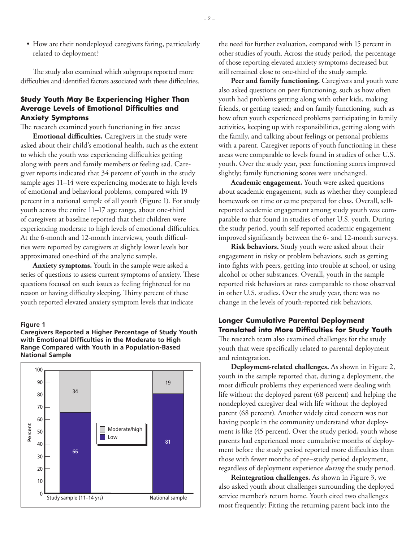• How are their nondeployed caregivers faring, particularly related to deployment?

The study also examined which subgroups reported more difficulties and identified factors associated with these difficulties.

## **Study Youth May Be Experiencing Higher Than Average Levels of Emotional Difficulties and Anxiety Symptoms**

The research examined youth functioning in five areas:

**Emotional difficulties.** Caregivers in the study were asked about their child's emotional health, such as the extent to which the youth was experiencing difficulties getting along with peers and family members or feeling sad. Caregiver reports indicated that 34 percent of youth in the study sample ages 11–14 were experiencing moderate to high levels of emotional and behavioral problems, compared with 19 percent in a national sample of all youth (Figure 1). For study youth across the entire 11–17 age range, about one-third of caregivers at baseline reported that their children were experiencing moderate to high levels of emotional difficulties. At the 6-month and 12-month interviews, youth difficulties were reported by caregivers at slightly lower levels but approximated one-third of the analytic sample.

**Anxiety symptoms.** Youth in the sample were asked a series of questions to assess current symptoms of anxiety. These questions focused on such issues as feeling frightened for no reason or having difficulty sleeping. Thirty percent of these youth reported elevated anxiety symptom levels that indicate

#### **Figure 1**

**Caregivers Reported a Higher Percentage of Study Youth with Emotional Difficulties in the Moderate to High Range Compared with Youth in a Population-Based National Sample**



the need for further evaluation, compared with 15 percent in other studies of youth. Across the study period, the percentage of those reporting elevated anxiety symptoms decreased but still remained close to one-third of the study sample.

**Peer and family functioning.** Caregivers and youth were also asked questions on peer functioning, such as how often youth had problems getting along with other kids, making friends, or getting teased; and on family functioning, such as how often youth experienced problems participating in family activities, keeping up with responsibilities, getting along with the family, and talking about feelings or personal problems with a parent. Caregiver reports of youth functioning in these areas were comparable to levels found in studies of other U.S. youth. Over the study year, peer functioning scores improved slightly; family functioning scores were unchanged.

**Academic engagement.** Youth were asked questions about academic engagement, such as whether they completed homework on time or came prepared for class. Overall, selfreported academic engagement among study youth was comparable to that found in studies of other U.S. youth. During the study period, youth self-reported academic engagement improved significantly between the 6- and 12-month surveys.

**Risk behaviors.** Study youth were asked about their engagement in risky or problem behaviors, such as getting into fights with peers, getting into trouble at school, or using alcohol or other substances. Overall, youth in the sample reported risk behaviors at rates comparable to those observed in other U.S. studies. Over the study year, there was no change in the levels of youth-reported risk behaviors.

## **Longer Cumulative Parental Deployment Translated into More Difficulties for Study Youth**

The research team also examined challenges for the study youth that were specifically related to parental deployment and reintegration.

**Deployment-related challenges.** As shown in Figure 2, youth in the sample reported that, during a deployment, the most difficult problems they experienced were dealing with life without the deployed parent (68 percent) and helping the nondeployed caregiver deal with life without the deployed parent (68 percent). Another widely cited concern was not having people in the community understand what deployment is like (45 percent). Over the study period, youth whose parents had experienced more cumulative months of deployment before the study period reported more difficulties than those with fewer months of pre–study period deployment, regardless of deployment experience *during* the study period.

**Reintegration challenges.** As shown in Figure 3, we also asked youth about challenges surrounding the deployed service member's return home. Youth cited two challenges most frequently: Fitting the returning parent back into the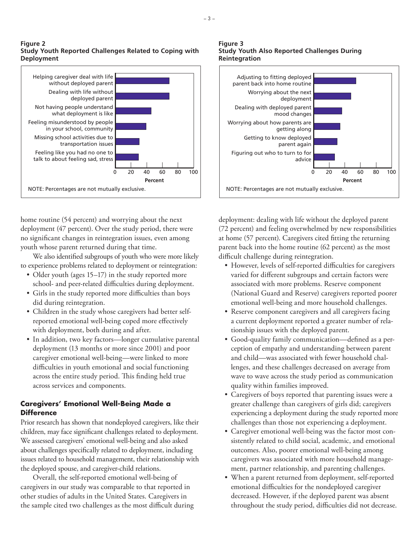

home routine (54 percent) and worrying about the next deployment (47 percent). Over the study period, there were no significant changes in reintegration issues, even among youth whose parent returned during that time.

We also identified subgroups of youth who were more likely to experience problems related to deployment or reintegration:

- Older youth (ages 15–17) in the study reported more school- and peer-related difficulties during deployment.
- Girls in the study reported more difficulties than boys did during reintegration.
- Children in the study whose caregivers had better selfreported emotional well-being coped more effectively with deployment, both during and after.
- In addition, two key factors—longer cumulative parental deployment (13 months or more since 2001) and poor caregiver emotional well-being—were linked to more difficulties in youth emotional and social functioning across the entire study period. This finding held true across services and components.

## **Caregivers' Emotional Well-Being Made a Difference**

Prior research has shown that nondeployed caregivers, like their children, may face significant challenges related to deployment. We assessed caregivers' emotional well-being and also asked about challenges specifically related to deployment, including issues related to household management, their relationship with the deployed spouse, and caregiver-child relations.

Overall, the self-reported emotional well-being of caregivers in our study was comparable to that reported in other studies of adults in the United States. Caregivers in the sample cited two challenges as the most difficult during

#### **Figure 3 Study Youth Also Reported Challenges During Reintegration**



deployment: dealing with life without the deployed parent (72 percent) and feeling overwhelmed by new responsibilities at home (57 percent). Caregivers cited fitting the returning parent back into the home routine (62 percent) as the most difficult challenge during reintegration.

- However, levels of self-reported difficulties for caregivers varied for different subgroups and certain factors were associated with more problems. Reserve component (National Guard and Reserve) caregivers reported poorer emotional well-being and more household challenges.
- Reserve component caregivers and all caregivers facing a current deployment reported a greater number of relationship issues with the deployed parent.
- Good-quality family communication—defined as a perception of empathy and understanding between parent and child—was associated with fewer household challenges, and these challenges decreased on average from wave to wave across the study period as communication quality within families improved.
- Caregivers of boys reported that parenting issues were a greater challenge than caregivers of girls did; caregivers experiencing a deployment during the study reported more challenges than those not experiencing a deployment.
- Caregiver emotional well-being was the factor most consistently related to child social, academic, and emotional outcomes. Also, poorer emotional well-being among caregivers was associated with more household management, partner relationship, and parenting challenges.
- When a parent returned from deployment, self-reported emotional difficulties for the nondeployed caregiver decreased. However, if the deployed parent was absent throughout the study period, difficulties did not decrease.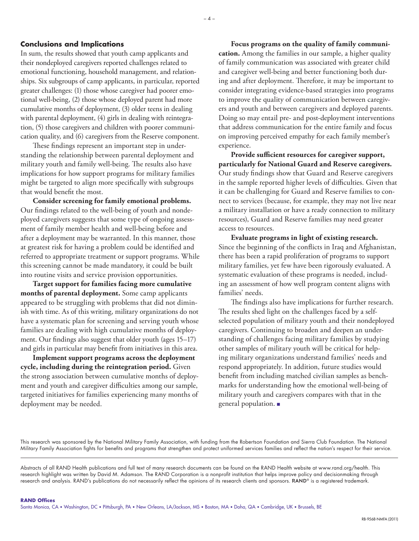## **Conclusions and Implications**

In sum, the results showed that youth camp applicants and their nondeployed caregivers reported challenges related to emotional functioning, household management, and relationships. Six subgroups of camp applicants, in particular, reported greater challenges: (1) those whose caregiver had poorer emotional well-being, (2) those whose deployed parent had more cumulative months of deployment, (3) older teens in dealing with parental deployment, (4) girls in dealing with reintegration, (5) those caregivers and children with poorer communication quality, and (6) caregivers from the Reserve component.

These findings represent an important step in understanding the relationship between parental deployment and military youth and family well-being. The results also have implications for how support programs for military families might be targeted to align more specifically with subgroups that would benefit the most.

**Consider screening for family emotional problems.**  Our findings related to the well-being of youth and nondeployed caregivers suggests that some type of ongoing assessment of family member health and well-being before and after a deployment may be warranted. In this manner, those at greatest risk for having a problem could be identified and referred to appropriate treatment or support programs. While this screening cannot be made mandatory, it could be built into routine visits and service provision opportunities.

**Target support for families facing more cumulative months of parental deployment.** Some camp applicants appeared to be struggling with problems that did not diminish with time. As of this writing, military organizations do not have a systematic plan for screening and serving youth whose families are dealing with high cumulative months of deployment. Our findings also suggest that older youth (ages 15–17) and girls in particular may benefit from initiatives in this area.

**Implement support programs across the deployment cycle, including during the reintegration period.** Given the strong association between cumulative months of deployment and youth and caregiver difficulties among our sample, targeted initiatives for families experiencing many months of deployment may be needed.

**Focus programs on the quality of family communication.** Among the families in our sample, a higher quality of family communication was associated with greater child and caregiver well-being and better functioning both during and after deployment. Therefore, it may be important to consider integrating evidence-based strategies into programs to improve the quality of communication between caregivers and youth and between caregivers and deployed parents. Doing so may entail pre- and post-deployment interventions that address communication for the entire family and focus on improving perceived empathy for each family member's experience.

**Provide sufficient resources for caregiver support, particularly for National Guard and Reserve caregivers.**  Our study findings show that Guard and Reserve caregivers in the sample reported higher levels of difficulties. Given that it can be challenging for Guard and Reserve families to connect to services (because, for example, they may not live near a military installation or have a ready connection to military resources), Guard and Reserve families may need greater access to resources.

**Evaluate programs in light of existing research.**  Since the beginning of the conflicts in Iraq and Afghanistan, there has been a rapid proliferation of programs to support military families, yet few have been rigorously evaluated. A systematic evaluation of these programs is needed, including an assessment of how well program content aligns with families' needs.

The findings also have implications for further research. The results shed light on the challenges faced by a selfselected population of military youth and their nondeployed caregivers. Continuing to broaden and deepen an understanding of challenges facing military families by studying other samples of military youth will be critical for helping military organizations understand families' needs and respond appropriately. In addition, future studies would benefit from including matched civilian samples as benchmarks for understanding how the emotional well-being of military youth and caregivers compares with that in the general population. ■

This research was sponsored by the National Military Family Association, with funding from the Robertson Foundation and Sierra Club Foundation. The National Military Family Association fights for benefits and programs that strengthen and protect uniformed services families and reflect the nation's respect for their service.

Abstracts of all RAND Health publications and full text of many research documents can be found on the RAND Health website at [www.rand.org/health.](http://www.rand.org/health) This research highlight was written by David M. Adamson. The RAND Corporation is a nonprofit institution that helps improve policy and decisionmaking through research and analysis. RAND's publications do not necessarily reflect the opinions of its research clients and sponsors. RAND® is a registered trademark.